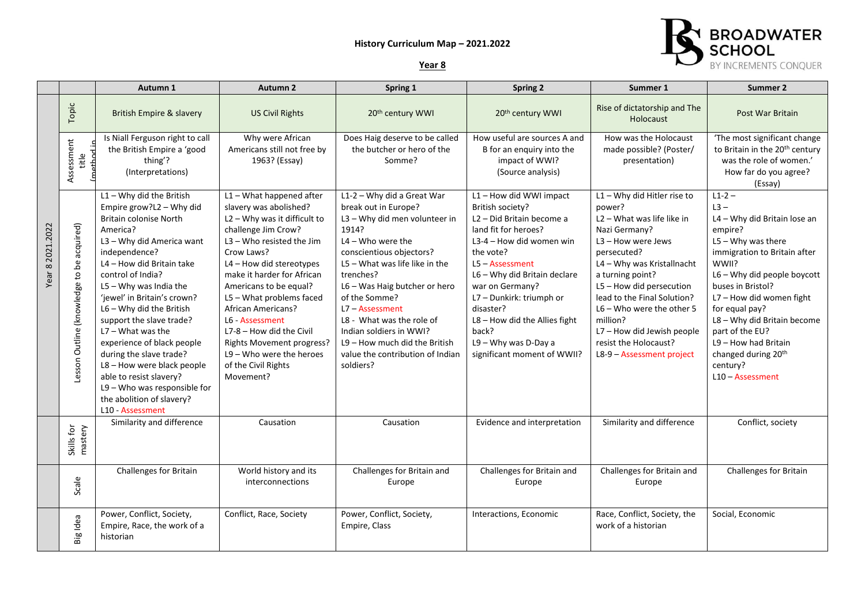## **History Curriculum Map – 2021.2022**



|                  |                                           | Autumn 1                                                                                                                                                                                                                                                                                                                                                                                                                                                                                                                                              | Autumn 2                                                                                                                                                                                                                                                                                                                                                                                                                                                       | Spring 1                                                                                                                                                                                                                                                                                                                                                                                                          | <b>Spring 2</b>                                                                                                                                                                                                                                                                                                                                                         | Summer 1                                                                                                                                                                                                                                                                                                                                                                    | Summer 2                                                                                                                                                                                                                                                                                                                                                                        |
|------------------|-------------------------------------------|-------------------------------------------------------------------------------------------------------------------------------------------------------------------------------------------------------------------------------------------------------------------------------------------------------------------------------------------------------------------------------------------------------------------------------------------------------------------------------------------------------------------------------------------------------|----------------------------------------------------------------------------------------------------------------------------------------------------------------------------------------------------------------------------------------------------------------------------------------------------------------------------------------------------------------------------------------------------------------------------------------------------------------|-------------------------------------------------------------------------------------------------------------------------------------------------------------------------------------------------------------------------------------------------------------------------------------------------------------------------------------------------------------------------------------------------------------------|-------------------------------------------------------------------------------------------------------------------------------------------------------------------------------------------------------------------------------------------------------------------------------------------------------------------------------------------------------------------------|-----------------------------------------------------------------------------------------------------------------------------------------------------------------------------------------------------------------------------------------------------------------------------------------------------------------------------------------------------------------------------|---------------------------------------------------------------------------------------------------------------------------------------------------------------------------------------------------------------------------------------------------------------------------------------------------------------------------------------------------------------------------------|
| Year 8 2021.2022 | Topic                                     | <b>British Empire &amp; slavery</b>                                                                                                                                                                                                                                                                                                                                                                                                                                                                                                                   | <b>US Civil Rights</b>                                                                                                                                                                                                                                                                                                                                                                                                                                         | 20th century WWI                                                                                                                                                                                                                                                                                                                                                                                                  | 20th century WWI                                                                                                                                                                                                                                                                                                                                                        | Rise of dictatorship and The<br><b>Holocaust</b>                                                                                                                                                                                                                                                                                                                            | Post War Britain                                                                                                                                                                                                                                                                                                                                                                |
|                  | Assessment<br>athod<br>title              | Is Niall Ferguson right to call<br>the British Empire a 'good<br>thing'?<br>(Interpretations)                                                                                                                                                                                                                                                                                                                                                                                                                                                         | Why were African<br>Americans still not free by<br>1963? (Essay)                                                                                                                                                                                                                                                                                                                                                                                               | Does Haig deserve to be called<br>the butcher or hero of the<br>Somme?                                                                                                                                                                                                                                                                                                                                            | How useful are sources A and<br>B for an enquiry into the<br>impact of WWI?<br>(Source analysis)                                                                                                                                                                                                                                                                        | How was the Holocaust<br>made possible? (Poster/<br>presentation)                                                                                                                                                                                                                                                                                                           | 'The most significant change<br>to Britain in the 20 <sup>th</sup> century<br>was the role of women.'<br>How far do you agree?<br>(Essay)                                                                                                                                                                                                                                       |
|                  | Lesson Outline (knowledge to be acquired) | $L1 - Why$ did the British<br>Empire grow?L2 - Why did<br><b>Britain colonise North</b><br>America?<br>L3 - Why did America want<br>independence?<br>L4 - How did Britain take<br>control of India?<br>$L5 - W$ hy was India the<br>'jewel' in Britain's crown?<br>$L6 - Why$ did the British<br>support the slave trade?<br>$L7 - What was the$<br>experience of black people<br>during the slave trade?<br>L8 - How were black people<br>able to resist slavery?<br>$L9 -$ Who was responsible for<br>the abolition of slavery?<br>L10 - Assessment | $L1 - What$ happened after<br>slavery was abolished?<br>L2 - Why was it difficult to<br>challenge Jim Crow?<br>$L3 -$ Who resisted the Jim<br>Crow Laws?<br>$L4 -$ How did stereotypes<br>make it harder for African<br>Americans to be equal?<br>L5 - What problems faced<br><b>African Americans?</b><br>L6 - Assessment<br>$L7-8$ – How did the Civil<br><b>Rights Movement progress?</b><br>$L9 -$ Who were the heroes<br>of the Civil Rights<br>Movement? | L1-2 - Why did a Great War<br>break out in Europe?<br>L3 - Why did men volunteer in<br>1914?<br>$L4 - Who$ were the<br>conscientious objectors?<br>$L5 - What$ was life like in the<br>trenches?<br>L6 - Was Haig butcher or hero<br>of the Somme?<br>L7 - Assessment<br>L8 - What was the role of<br>Indian soldiers in WWI?<br>$L9 -$ How much did the British<br>value the contribution of Indian<br>soldiers? | L1-How did WWI impact<br>British society?<br>L <sub>2</sub> – Did Britain become a<br>land fit for heroes?<br>L3-4 – How did women win<br>the vote?<br>$L5 - Assessment$<br>L6 - Why did Britain declare<br>war on Germany?<br>L7 - Dunkirk: triumph or<br>disaster?<br>$L8 -$ How did the Allies fight<br>back?<br>L9 - Why was D-Day a<br>significant moment of WWII? | $L1 - Why$ did Hitler rise to<br>power?<br>$L2 - What$ was life like in<br>Nazi Germany?<br>L3 - How were Jews<br>persecuted?<br>L4 - Why was Kristallnacht<br>a turning point?<br>$L5 -$ How did persecution<br>lead to the Final Solution?<br>$L6 -$ Who were the other 5<br>million?<br>L7 - How did Jewish people<br>resist the Holocaust?<br>L8-9 - Assessment project | $L1 - 2 -$<br>$L3 -$<br>L4 - Why did Britain lose an<br>empire?<br>$L5 - Why was there$<br>immigration to Britain after<br>WWII?<br>L6 - Why did people boycott<br>buses in Bristol?<br>L7 - How did women fight<br>for equal pay?<br>L8 - Why did Britain become<br>part of the EU?<br>L9 - How had Britain<br>changed during 20 <sup>th</sup><br>century?<br>L10 - Assessment |
|                  | mastery<br>Skills for                     | Similarity and difference                                                                                                                                                                                                                                                                                                                                                                                                                                                                                                                             | Causation                                                                                                                                                                                                                                                                                                                                                                                                                                                      | Causation                                                                                                                                                                                                                                                                                                                                                                                                         | Evidence and interpretation                                                                                                                                                                                                                                                                                                                                             | Similarity and difference                                                                                                                                                                                                                                                                                                                                                   | Conflict, society                                                                                                                                                                                                                                                                                                                                                               |
|                  | Scale                                     | Challenges for Britain                                                                                                                                                                                                                                                                                                                                                                                                                                                                                                                                | World history and its<br>interconnections                                                                                                                                                                                                                                                                                                                                                                                                                      | Challenges for Britain and<br>Europe                                                                                                                                                                                                                                                                                                                                                                              | Challenges for Britain and<br>Europe                                                                                                                                                                                                                                                                                                                                    | Challenges for Britain and<br>Europe                                                                                                                                                                                                                                                                                                                                        | Challenges for Britain                                                                                                                                                                                                                                                                                                                                                          |
|                  | Big Idea                                  | Power, Conflict, Society,<br>Empire, Race, the work of a<br>historian                                                                                                                                                                                                                                                                                                                                                                                                                                                                                 | Conflict, Race, Society                                                                                                                                                                                                                                                                                                                                                                                                                                        | Power, Conflict, Society,<br>Empire, Class                                                                                                                                                                                                                                                                                                                                                                        | Interactions, Economic                                                                                                                                                                                                                                                                                                                                                  | Race, Conflict, Society, the<br>work of a historian                                                                                                                                                                                                                                                                                                                         | Social. Economic                                                                                                                                                                                                                                                                                                                                                                |